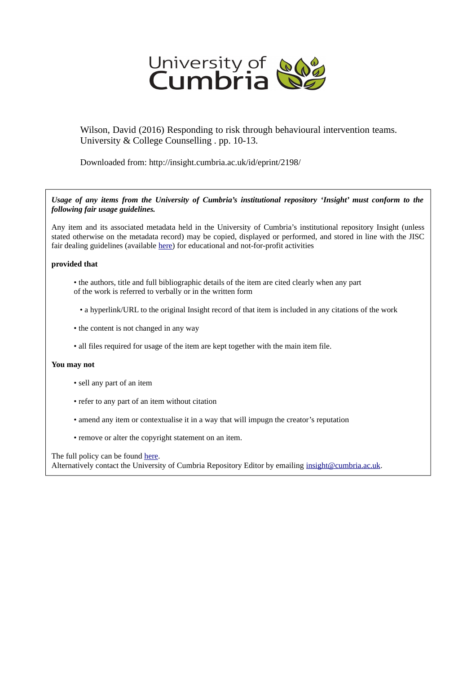

Wilson, David (2016) Responding to risk through behavioural intervention teams. University & College Counselling . pp. 10-13.

Downloaded from: http://insight.cumbria.ac.uk/id/eprint/2198/

*Usage of any items from the University of Cumbria's institutional repository 'Insight' must conform to the following fair usage guidelines.*

Any item and its associated metadata held in the University of Cumbria's institutional repository Insight (unless stated otherwise on the metadata record) may be copied, displayed or performed, and stored in line with the JISC fair dealing guidelines (available [here\)](http://www.ukoln.ac.uk/services/elib/papers/pa/fair/) for educational and not-for-profit activities

#### **provided that**

- the authors, title and full bibliographic details of the item are cited clearly when any part of the work is referred to verbally or in the written form
	- a hyperlink/URL to the original Insight record of that item is included in any citations of the work
- the content is not changed in any way
- all files required for usage of the item are kept together with the main item file.

#### **You may not**

- sell any part of an item
- refer to any part of an item without citation
- amend any item or contextualise it in a way that will impugn the creator's reputation
- remove or alter the copyright statement on an item.

The full policy can be found [here.](http://insight.cumbria.ac.uk/legal.html#section5)

Alternatively contact the University of Cumbria Repository Editor by emailing [insight@cumbria.ac.uk.](mailto:insight@cumbria.ac.uk)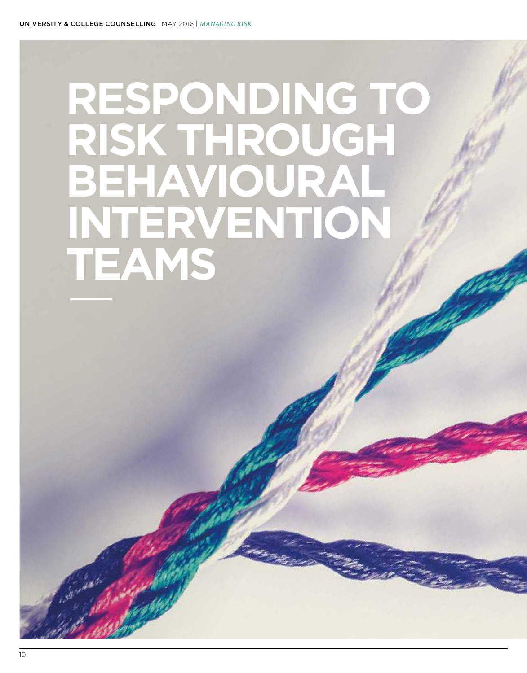# **RESPONDING TO RISK THROUGH BEHAVIOURAL INTERVENTION TEAMS**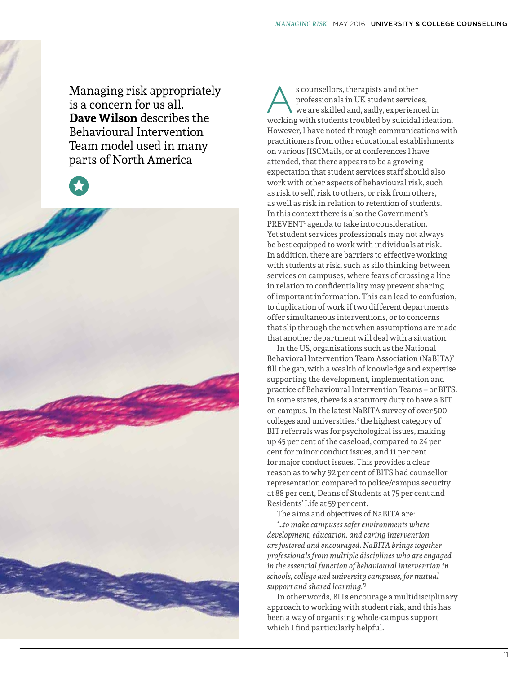Managing risk appropriately is a concern for us all. **Dave Wilson** describes the Behavioural Intervention Team model used in many parts of North America



s counsellors, therapists and other<br>professionals in UK student service<br>we are skilled and, sadly, experiency<br>working with students troubled by suicidal professionals in UK student services, we are skilled and, sadly, experienced in working with students troubled by suicidal ideation. However, I have noted through communications with practitioners from other educational establishments on various JISCMails, or at conferences I have attended, that there appears to be a growing expectation that student services staff should also work with other aspects of behavioural risk, such as risk to self, risk to others, or risk from others, as well as risk in relation to retention of students. In this context there is also the Government's PREVENT<sup>1</sup> agenda to take into consideration. Yet student services professionals may not always be best equipped to work with individuals at risk. In addition, there are barriers to effective working with students at risk, such as silo thinking between services on campuses, where fears of crossing a line in relation to confidentiality may prevent sharing of important information. This can lead to confusion, to duplication of work if two different departments offer simultaneous interventions, or to concerns that slip through the net when assumptions are made that another department will deal with a situation.

In the US, organisations such as the National Behavioral Intervention Team Association (NaBITA)2 fill the gap, with a wealth of knowledge and expertise supporting the development, implementation and practice of Behavioural Intervention Teams – or BITS. In some states, there is a statutory duty to have a BIT on campus. In the latest NaBITA survey of over 500 colleges and universities,<sup>3</sup> the highest category of BIT referrals was for psychological issues, making up 45 per cent of the caseload, compared to 24 per cent for minor conduct issues, and 11 per cent for major conduct issues. This provides a clear reason as to why 92 per cent of BITS had counsellor representation compared to police/campus security at 88 per cent, Deans of Students at 75 per cent and Residents' Life at 59 per cent.

The aims and objectives of NaBITA are: *'…to make campuses safer environments where development, education, and caring intervention are fostered and encouraged. NaBITA brings together professionals from multiple disciplines who are engaged in the essential function of behavioural intervention in schools, college and university campuses, for mutual support and shared learning.'*<sup>3</sup>

In other words, BITs encourage a multidisciplinary approach to working with student risk, and this has been a way of organising whole-campus support which I find particularly helpful.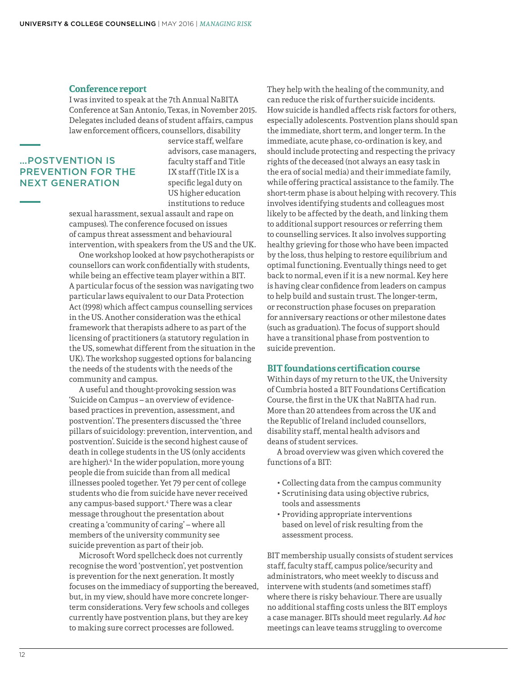#### **Conference report**

I was invited to speak at the 7th Annual NaBITA Conference at San Antonio, Texas, in November 2015. Delegates included deans of student affairs, campus law enforcement officers, counsellors, disability

#### …POSTVENTION IS PREVENTION FOR THE NEXT GENERATION

service staff, welfare advisors, case managers, faculty staff and Title IX staff (Title IX is a specific legal duty on US higher education institutions to reduce

sexual harassment, sexual assault and rape on campuses). The conference focused on issues of campus threat assessment and behavioural intervention, with speakers from the US and the UK.

One workshop looked at how psychotherapists or counsellors can work confidentially with students, while being an effective team player within a BIT. A particular focus of the session was navigating two particular laws equivalent to our Data Protection Act (1998) which affect campus counselling services in the US. Another consideration was the ethical framework that therapists adhere to as part of the licensing of practitioners (a statutory regulation in the US, somewhat different from the situation in the UK). The workshop suggested options for balancing the needs of the students with the needs of the community and campus.

A useful and thought-provoking session was 'Suicide on Campus – an overview of evidencebased practices in prevention, assessment, and postvention'. The presenters discussed the 'three pillars of suicidology: prevention, intervention, and postvention'. Suicide is the second highest cause of death in college students in the US (only accidents are higher).4 In the wider population, more young people die from suicide than from all medical illnesses pooled together. Yet 79 per cent of college students who die from suicide have never received any campus-based support.4 There was a clear message throughout the presentation about creating a 'community of caring' – where all members of the university community see suicide prevention as part of their job.

Microsoft Word spellcheck does not currently recognise the word 'postvention', yet postvention is prevention for the next generation. It mostly focuses on the immediacy of supporting the bereaved, but, in my view, should have more concrete longerterm considerations. Very few schools and colleges currently have postvention plans, but they are key to making sure correct processes are followed.

They help with the healing of the community, and can reduce the risk of further suicide incidents. How suicide is handled affects risk factors for others, especially adolescents. Postvention plans should span the immediate, short term, and longer term. In the immediate, acute phase, co-ordination is key, and should include protecting and respecting the privacy rights of the deceased (not always an easy task in the era of social media) and their immediate family, while offering practical assistance to the family. The short-term phase is about helping with recovery. This involves identifying students and colleagues most likely to be affected by the death, and linking them to additional support resources or referring them to counselling services. It also involves supporting healthy grieving for those who have been impacted by the loss, thus helping to restore equilibrium and optimal functioning. Eventually things need to get back to normal, even if it is a new normal. Key here is having clear confidence from leaders on campus to help build and sustain trust. The longer-term, or reconstruction phase focuses on preparation for anniversary reactions or other milestone dates (such as graduation). The focus of support should have a transitional phase from postvention to suicide prevention.

#### **BIT foundations certification course**

Within days of my return to the UK, the University of Cumbria hosted a BIT Foundations Certification Course, the first in the UK that NaBITA had run. More than 20 attendees from across the UK and the Republic of Ireland included counsellors, disability staff, mental health advisors and deans of student services.

A broad overview was given which covered the functions of a BIT:

- Collecting data from the campus community
- Scrutinising data using objective rubrics, tools and assessments
- Providing appropriate interventions based on level of risk resulting from the assessment process.

BIT membership usually consists of student services staff, faculty staff, campus police/security and administrators, who meet weekly to discuss and intervene with students (and sometimes staff) where there is risky behaviour. There are usually no additional staffing costs unless the BIT employs a case manager. BITs should meet regularly. *Ad hoc* meetings can leave teams struggling to overcome